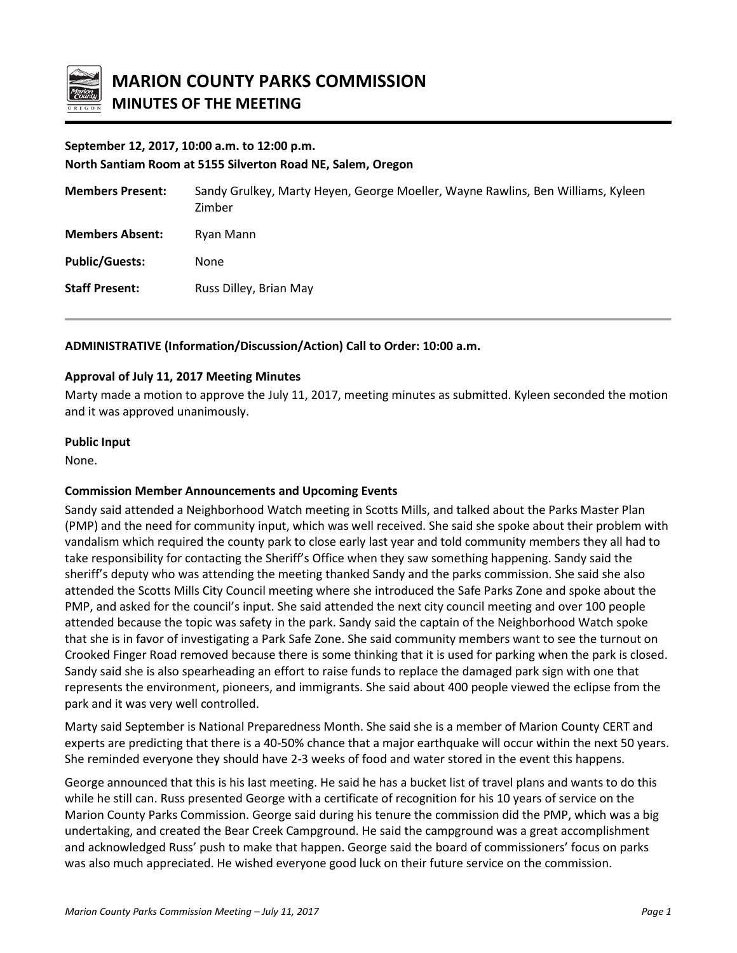

# **September 12, 2017, 10:00 a.m. to 12:00 p.m.**

**North Santiam Room at 5155 Silverton Road NE, Salem, Oregon**

| <b>Members Present:</b> | Sandy Grulkey, Marty Heyen, George Moeller, Wayne Rawlins, Ben Williams, Kyleen<br>Zimber |
|-------------------------|-------------------------------------------------------------------------------------------|
| <b>Members Absent:</b>  | Ryan Mann                                                                                 |
| <b>Public/Guests:</b>   | None                                                                                      |
| <b>Staff Present:</b>   | Russ Dilley, Brian May                                                                    |

# **ADMINISTRATIVE (Information/Discussion/Action) Call to Order: 10:00 a.m.**

## **Approval of July 11, 2017 Meeting Minutes**

Marty made a motion to approve the July 11, 2017, meeting minutes as submitted. Kyleen seconded the motion and it was approved unanimously.

### **Public Input**

None.

## **Commission Member Announcements and Upcoming Events**

Sandy said attended a Neighborhood Watch meeting in Scotts Mills, and talked about the Parks Master Plan (PMP) and the need for community input, which was well received. She said she spoke about their problem with vandalism which required the county park to close early last year and told community members they all had to take responsibility for contacting the Sheriff's Office when they saw something happening. Sandy said the sheriff's deputy who was attending the meeting thanked Sandy and the parks commission. She said she also attended the Scotts Mills City Council meeting where she introduced the Safe Parks Zone and spoke about the PMP, and asked for the council's input. She said attended the next city council meeting and over 100 people attended because the topic was safety in the park. Sandy said the captain of the Neighborhood Watch spoke that she is in favor of investigating a Park Safe Zone. She said community members want to see the turnout on Crooked Finger Road removed because there is some thinking that it is used for parking when the park is closed. Sandy said she is also spearheading an effort to raise funds to replace the damaged park sign with one that represents the environment, pioneers, and immigrants. She said about 400 people viewed the eclipse from the park and it was very well controlled.

Marty said September is National Preparedness Month. She said she is a member of Marion County CERT and experts are predicting that there is a 40-50% chance that a major earthquake will occur within the next 50 years. She reminded everyone they should have 2-3 weeks of food and water stored in the event this happens.

George announced that this is his last meeting. He said he has a bucket list of travel plans and wants to do this while he still can. Russ presented George with a certificate of recognition for his 10 years of service on the Marion County Parks Commission. George said during his tenure the commission did the PMP, which was a big undertaking, and created the Bear Creek Campground. He said the campground was a great accomplishment and acknowledged Russ' push to make that happen. George said the board of commissioners' focus on parks was also much appreciated. He wished everyone good luck on their future service on the commission.